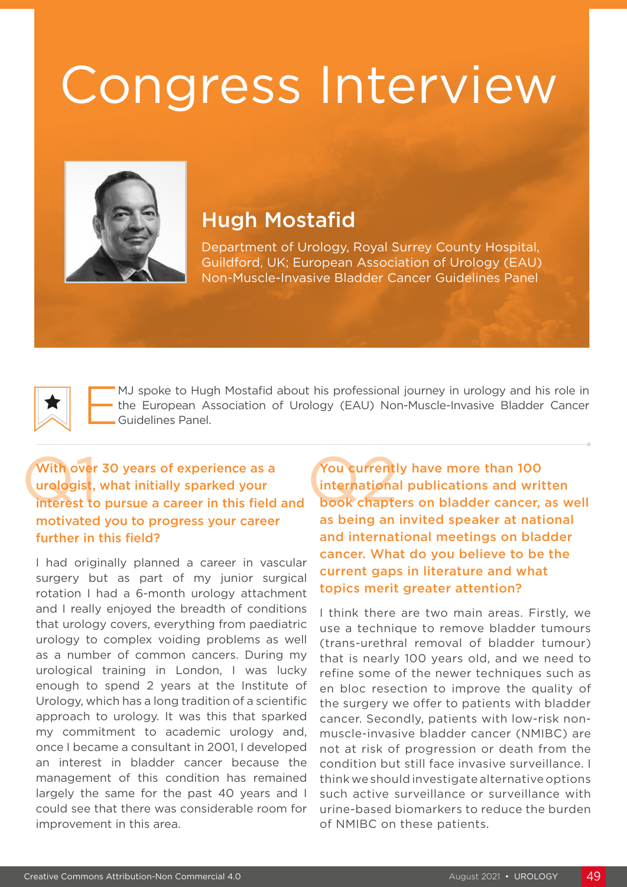## Congress Interview



## Hugh Mostafid

Department of Urology, Royal Surrey County Hospital, Guildford, UK; European Association of Urology (EAU) Non-Muscle-Invasive Bladder Cancer Guidelines Panel

MJ spoke to Hugh Mostafid about his professional journey in urology and his role in<br>the European Association of Urology (EAU) Non-Muscle-Invasive Bladder Cancer<br>Guidelines Panel. the European Association of Urology (EAU) Non-Muscle-Invasive Bladder Cancer Guidelines Panel.

## With over 30 years of experience as a urologist, what initially sparked your With over 30 years of experience as a<br>
urologist, what initially sparked your<br>
interest to pursue a career in this field and book chapter motivated you to progress your career further in this field?

I had originally planned a career in vascular surgery but as part of my junior surgical rotation I had a 6-month urology attachment and I really enjoyed the breadth of conditions that urology covers, everything from paediatric urology to complex voiding problems as well as a number of common cancers. During my urological training in London, I was lucky enough to spend 2 years at the Institute of Urology, which has a long tradition of a scientific approach to urology. It was this that sparked my commitment to academic urology and, once I became a consultant in 2001, I developed an interest in bladder cancer because the management of this condition has remained largely the same for the past 40 years and I could see that there was considerable room for improvement in this area.

You currently have more than 100 international publications and written book chapters on bladder cancer, as well as being an invited speaker at national and international meetings on bladder cancer. What do you believe to be the current gaps in literature and what topics merit greater attention?

I think there are two main areas. Firstly, we use a technique to remove bladder tumours (trans-urethral removal of bladder tumour) that is nearly 100 years old, and we need to refine some of the newer techniques such as en bloc resection to improve the quality of the surgery we offer to patients with bladder cancer. Secondly, patients with low-risk nonmuscle-invasive bladder cancer (NMIBC) are not at risk of progression or death from the condition but still face invasive surveillance. I think we should investigate alternative options such active surveillance or surveillance with urine-based biomarkers to reduce the burden of NMIBC on these patients.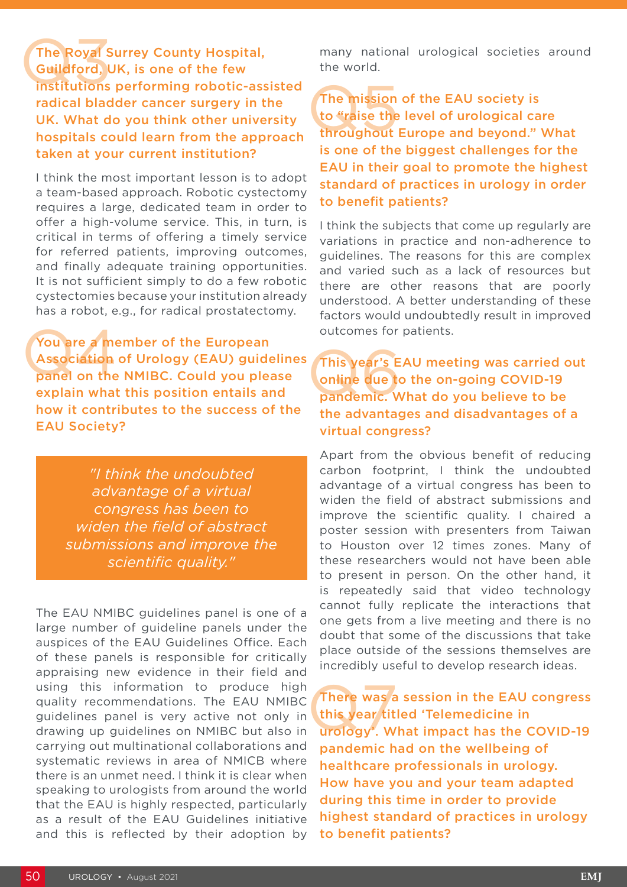The Royal Surrey County Hospital, Guildford, UK, is one of the few The Royal Surrey County Hospital,<br>Guildford, UK, is one of the few<br>institutions performing robotic-assisted radical bladder cancer surgery in the UK. What do you think other university hospitals could learn from the approach taken at your current institution?

I think the most important lesson is to adopt a team-based approach. Robotic cystectomy requires a large, dedicated team in order to offer a high-volume service. This, in turn, is critical in terms of offering a timely service for referred patients, improving outcomes, and finally adequate training opportunities. It is not sufficient simply to do a few robotic cystectomies because your institution already has a robot, e.g., for radical prostatectomy.

You are a member of the European Association of Urology (EAU) guidelines panel on the NMIBC. Could you please explain what this position entails and how it contributes to the success of the EAU Society? You are a me<br>Association<br>panel on the

> *"I think the undoubted advantage of a virtual congress has been to widen the field of abstract submissions and improve the scientific quality."*

The EAU NMIBC guidelines panel is one of a large number of guideline panels under the auspices of the EAU Guidelines Office. Each of these panels is responsible for critically appraising new evidence in their field and using this information to produce high quality recommendations. The EAU NMIBC guidelines panel is very active not only in drawing up guidelines on NMIBC but also in carrying out multinational collaborations and systematic reviews in area of NMICB where there is an unmet need. I think it is clear when speaking to urologists from around the world that the EAU is highly respected, particularly as a result of the EAU Guidelines initiative and this is reflected by their adoption by many national urological societies around the world.

The mission of the EAU society is to "raise the level of urological care throughout Europe and beyond." What is one of the biggest challenges for the EAU in their goal to promote the highest standard of practices in urology in order to benefit patients? The mission<br>to "raise the<br>throughout

I think the subjects that come up regularly are variations in practice and non-adherence to guidelines. The reasons for this are complex and varied such as a lack of resources but there are other reasons that are poorly understood. A better understanding of these factors would undoubtedly result in improved outcomes for patients.

This year's EAU meeting was carried out online due to the on-going COVID-19 pandemic. What do you believe to be the advantages and disadvantages of a virtual congress? This year's E<br>
online due to<br>
pandemic. W

Apart from the obvious benefit of reducing carbon footprint, I think the undoubted advantage of a virtual congress has been to widen the field of abstract submissions and improve the scientific quality. I chaired a poster session with presenters from Taiwan to Houston over 12 times zones. Many of these researchers would not have been able to present in person. On the other hand, it is repeatedly said that video technology cannot fully replicate the interactions that one gets from a live meeting and there is no doubt that some of the discussions that take place outside of the sessions themselves are incredibly useful to develop research ideas.

There was a session in the EAU congress this year titled 'Telemedicine in urology'. What impact has the COVID-19 pandemic had on the wellbeing of healthcare professionals in urology. How have you and your team adapted during this time in order to provide highest standard of practices in urology to benefit patients? There was a<br>this year title<br>urology'. W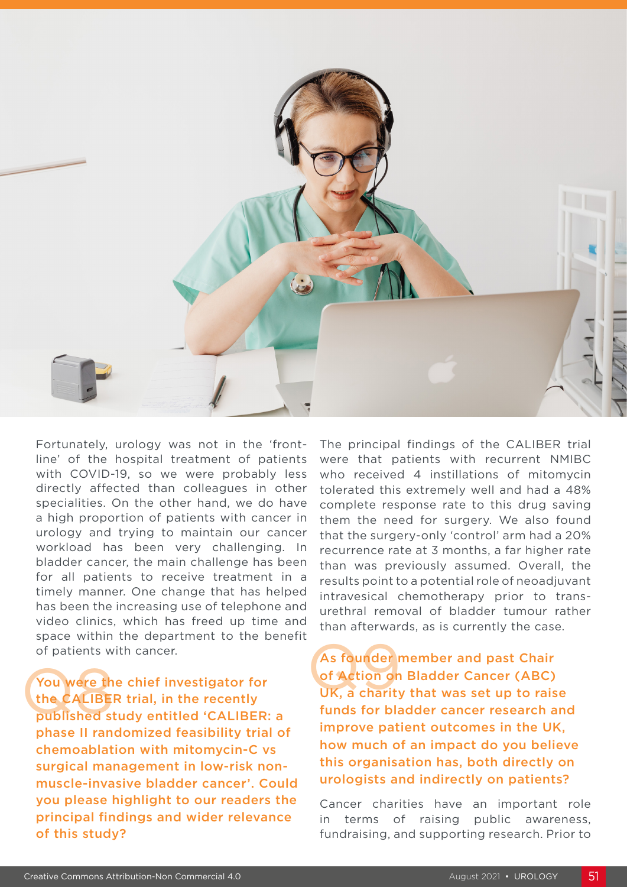

Fortunately, urology was not in the 'frontline' of the hospital treatment of patients with COVID-19, so we were probably less directly affected than colleagues in other specialities. On the other hand, we do have a high proportion of patients with cancer in urology and trying to maintain our cancer workload has been very challenging. In bladder cancer, the main challenge has been for all patients to receive treatment in a timely manner. One change that has helped has been the increasing use of telephone and video clinics, which has freed up time and space within the department to the benefit of patients with cancer.

You were the chief investigator for the CALIBER trial, in the recently published study entitled 'CALIBER: a phase II randomized feasibility trial of chemoablation with mitomycin-C vs surgical management in low-risk nonmuscle-invasive bladder cancer'. Could you please highlight to our readers the principal findings and wider relevance of this study? The CALIBER trial, in the recently<br>published study entitled 'CALIBER: a

The principal findings of the CALIBER trial were that patients with recurrent NMIBC who received 4 instillations of mitomycin tolerated this extremely well and had a 48% complete response rate to this drug saving them the need for surgery. We also found that the surgery-only 'control' arm had a 20% recurrence rate at 3 months, a far higher rate than was previously assumed. Overall, the results point to a potential role of neoadjuvant intravesical chemotherapy prior to transurethral removal of bladder tumour rather than afterwards, as is currently the case.

As founder member and past Chair of Action on Bladder Cancer (ABC) UK, a charity that was set up to raise funds for bladder cancer research and improve patient outcomes in the UK, how much of an impact do you believe this organisation has, both directly on urologists and indirectly on patients?

Cancer charities have an important role in terms of raising public awareness, fundraising, and supporting research. Prior to